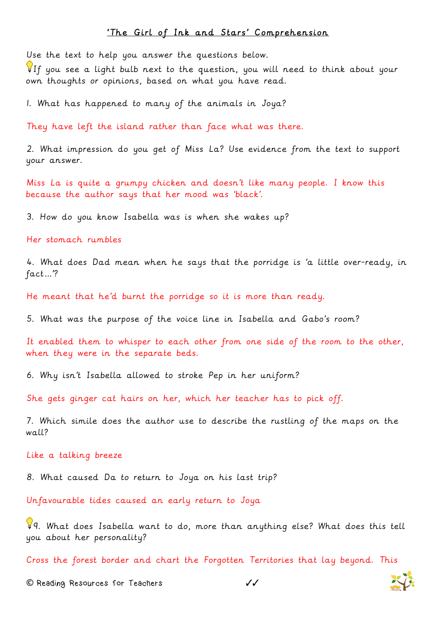## 'The Girl of Ink and Stars' Comprehension

Use the text to help you answer the questions below.

If you see a light bulb next to the question, you will need to think about your own thoughts or opinions, based on what you have read.

1. What has happened to many of the animals in Joya?

They have left the island rather than face what was there.

2. What impression do you get of Miss La? Use evidence from the text to support your answer.

Miss La is quite a grumpy chicken and doesn't like many people. I know this because the author says that her mood was 'black'.

3. How do you know Isabella was is when she wakes up?

Her stomach rumbles

4. What does Dad mean when he says that the porridge is 'a little over-ready, in fact…'?

He meant that he'd burnt the porridge so it is more than ready.

5. What was the purpose of the voice line in Isabella and Gabo's room?

It enabled them to whisper to each other from one side of the room to the other, when they were in the separate beds.

6. Why isn't Isabella allowed to stroke Pep in her uniform?

She gets ginger cat hairs on her, which her teacher has to pick off.

7. Which simile does the author use to describe the rustling of the maps on the wall?

## Like a talking breeze

8. What caused Da to return to Joya on his last trip?

Unfavourable tides caused an early return to Joya

9. What does Isabella want to do, more than anything else? What does this tell you about her personality?

Cross the forest border and chart the Forgotten Territories that lay beyond. This